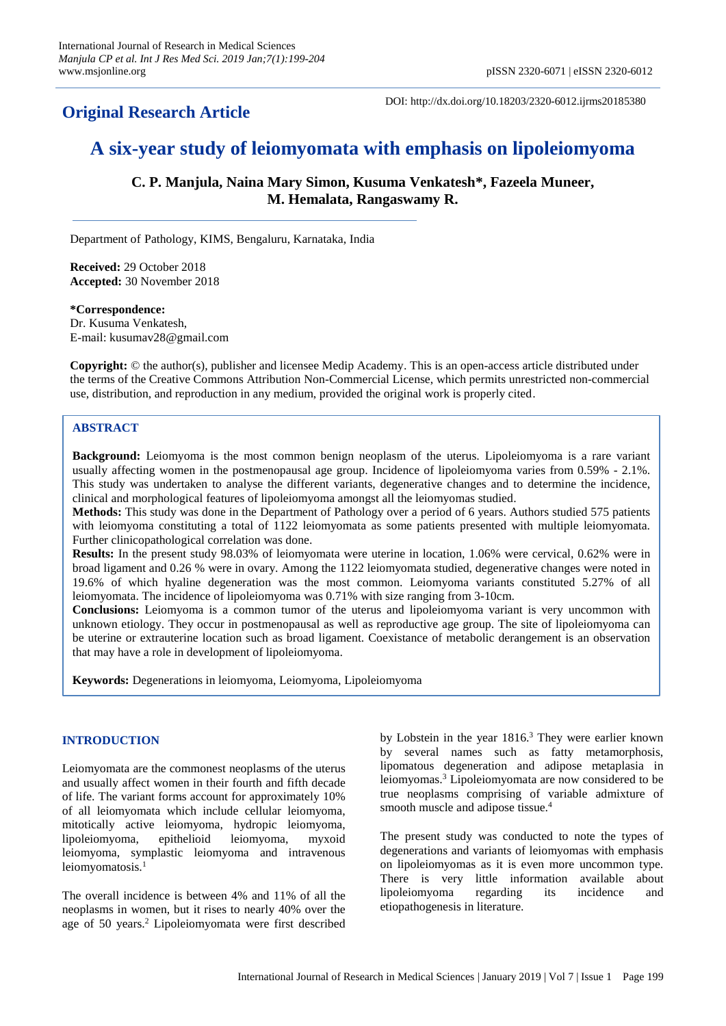# **Original Research Article**

DOI: http://dx.doi.org/10.18203/2320-6012.ijrms20185380

# **A six-year study of leiomyomata with emphasis on lipoleiomyoma**

**C. P. Manjula, Naina Mary Simon, Kusuma Venkatesh\*, Fazeela Muneer, M. Hemalata, Rangaswamy R.**

Department of Pathology, KIMS, Bengaluru, Karnataka, India

**Received:** 29 October 2018 **Accepted:** 30 November 2018

**\*Correspondence:** Dr. Kusuma Venkatesh, E-mail: kusumav28@gmail.com

**Copyright:** © the author(s), publisher and licensee Medip Academy. This is an open-access article distributed under the terms of the Creative Commons Attribution Non-Commercial License, which permits unrestricted non-commercial use, distribution, and reproduction in any medium, provided the original work is properly cited.

# **ABSTRACT**

**Background:** Leiomyoma is the most common benign neoplasm of the uterus. Lipoleiomyoma is a rare variant usually affecting women in the postmenopausal age group. Incidence of lipoleiomyoma varies from 0.59% - 2.1%. This study was undertaken to analyse the different variants, degenerative changes and to determine the incidence, clinical and morphological features of lipoleiomyoma amongst all the leiomyomas studied.

**Methods:** This study was done in the Department of Pathology over a period of 6 years. Authors studied 575 patients with leiomyoma constituting a total of 1122 leiomyomata as some patients presented with multiple leiomyomata. Further clinicopathological correlation was done.

**Results:** In the present study 98.03% of leiomyomata were uterine in location, 1.06% were cervical, 0.62% were in broad ligament and 0.26 % were in ovary. Among the 1122 leiomyomata studied, degenerative changes were noted in 19.6% of which hyaline degeneration was the most common. Leiomyoma variants constituted 5.27% of all leiomyomata. The incidence of lipoleiomyoma was 0.71% with size ranging from 3-10cm.

**Conclusions:** Leiomyoma is a common tumor of the uterus and lipoleiomyoma variant is very uncommon with unknown etiology. They occur in postmenopausal as well as reproductive age group. The site of lipoleiomyoma can be uterine or extrauterine location such as broad ligament. Coexistance of metabolic derangement is an observation that may have a role in development of lipoleiomyoma.

**Keywords:** Degenerations in leiomyoma, Leiomyoma, Lipoleiomyoma

# **INTRODUCTION**

Leiomyomata are the commonest neoplasms of the uterus and usually affect women in their fourth and fifth decade of life. The variant forms account for approximately 10% of all leiomyomata which include cellular leiomyoma, mitotically active leiomyoma, hydropic leiomyoma, lipoleiomyoma, epithelioid leiomyoma, myxoid leiomyoma, symplastic leiomyoma and intravenous leiomyomatosis.<sup>1</sup>

The overall incidence is between 4% and 11% of all the neoplasms in women, but it rises to nearly 40% over the age of 50 years.<sup>2</sup> Lipoleiomyomata were first described by Lobstein in the year 1816.<sup>3</sup> They were earlier known by several names such as fatty metamorphosis, lipomatous degeneration and adipose metaplasia in leiomyomas.<sup>3</sup> Lipoleiomyomata are now considered to be true neoplasms comprising of variable admixture of smooth muscle and adipose tissue.<sup>4</sup>

The present study was conducted to note the types of degenerations and variants of leiomyomas with emphasis on lipoleiomyomas as it is even more uncommon type. There is very little information available about lipoleiomyoma regarding its incidence and etiopathogenesis in literature.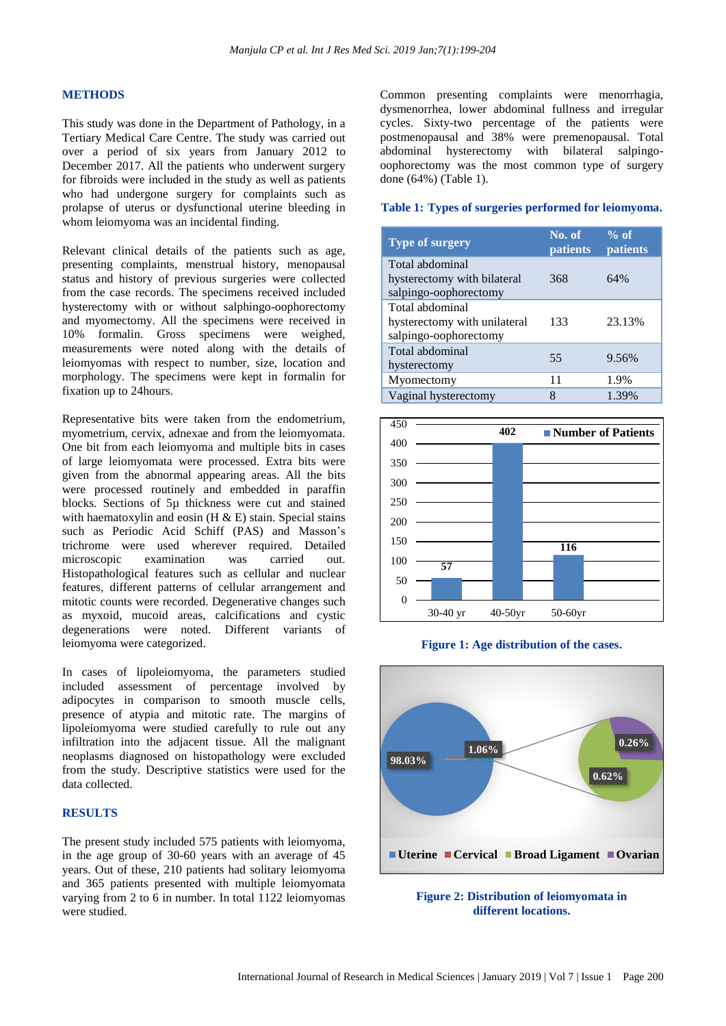# **METHODS**

This study was done in the Department of Pathology, in a Tertiary Medical Care Centre. The study was carried out over a period of six years from January 2012 to December 2017. All the patients who underwent surgery for fibroids were included in the study as well as patients who had undergone surgery for complaints such as prolapse of uterus or dysfunctional uterine bleeding in whom leiomyoma was an incidental finding.

Relevant clinical details of the patients such as age, presenting complaints, menstrual history, menopausal status and history of previous surgeries were collected from the case records. The specimens received included hysterectomy with or without salphingo-oophorectomy and myomectomy. All the specimens were received in 10% formalin. Gross specimens were weighed, measurements were noted along with the details of leiomyomas with respect to number, size, location and morphology. The specimens were kept in formalin for fixation up to 24hours.

Representative bits were taken from the endometrium, myometrium, cervix, adnexae and from the leiomyomata. One bit from each leiomyoma and multiple bits in cases of large leiomyomata were processed. Extra bits were given from the abnormal appearing areas. All the bits were processed routinely and embedded in paraffin blocks. Sections of 5µ thickness were cut and stained with haematoxylin and eosin  $(H & E)$  stain. Special stains such as Periodic Acid Schiff (PAS) and Masson's trichrome were used wherever required. Detailed microscopic examination was carried out. Histopathological features such as cellular and nuclear features, different patterns of cellular arrangement and mitotic counts were recorded. Degenerative changes such as myxoid, mucoid areas, calcifications and cystic degenerations were noted. Different variants of leiomyoma were categorized.

In cases of lipoleiomyoma, the parameters studied included assessment of percentage involved by adipocytes in comparison to smooth muscle cells, presence of atypia and mitotic rate. The margins of lipoleiomyoma were studied carefully to rule out any infiltration into the adjacent tissue. All the malignant neoplasms diagnosed on histopathology were excluded from the study. Descriptive statistics were used for the data collected.

#### **RESULTS**

The present study included 575 patients with leiomyoma, in the age group of 30-60 years with an average of 45 years. Out of these, 210 patients had solitary leiomyoma and 365 patients presented with multiple leiomyomata varying from 2 to 6 in number. In total 1122 leiomyomas were studied.

Common presenting complaints were menorrhagia, dysmenorrhea, lower abdominal fullness and irregular cycles. Sixty-two percentage of the patients were postmenopausal and 38% were premenopausal. Total abdominal hysterectomy with bilateral salpingooophorectomy was the most common type of surgery done (64%) (Table 1).

#### **Table 1: Types of surgeries performed for leiomyoma.**

| <b>Type of surgery</b>                                                   | No. of<br>patients | $%$ of<br>patients |
|--------------------------------------------------------------------------|--------------------|--------------------|
| Total abdominal<br>hysterectomy with bilateral<br>salpingo-oophorectomy  | 368                | 64%                |
| Total abdominal<br>hysterectomy with unilateral<br>salpingo-oophorectomy | 133                | 23.13%             |
| Total abdominal<br>hysterectomy                                          | 55                 | 9.56%              |
| Myomectomy                                                               | 11                 | 1.9%               |
| Vaginal hysterectomy                                                     |                    | 1.39%              |







**different locations.**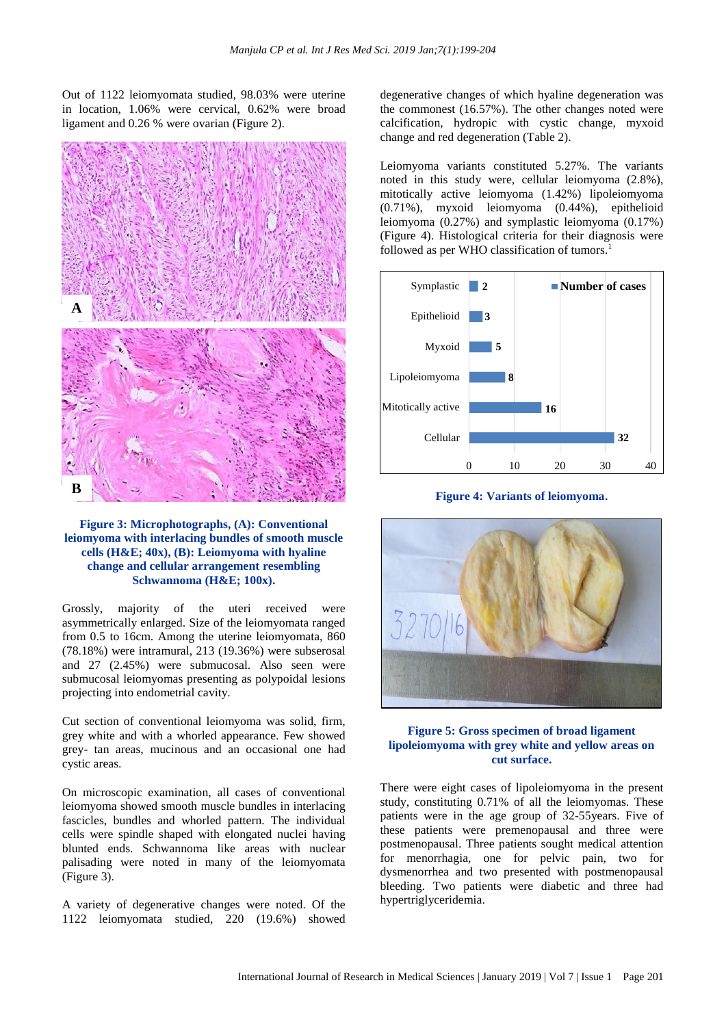Out of 1122 leiomyomata studied, 98.03% were uterine in location, 1.06% were cervical, 0.62% were broad ligament and 0.26 % were ovarian (Figure 2).



## **Figure 3: Microphotographs, (A): Conventional leiomyoma with interlacing bundles of smooth muscle cells (H&E; 40x), (B): Leiomyoma with hyaline change and cellular arrangement resembling Schwannoma (H&E; 100x).**

Grossly, majority of the uteri received were asymmetrically enlarged. Size of the leiomyomata ranged from 0.5 to 16cm. Among the uterine leiomyomata, 860 (78.18%) were intramural, 213 (19.36%) were subserosal and 27 (2.45%) were submucosal. Also seen were submucosal leiomyomas presenting as polypoidal lesions projecting into endometrial cavity.

Cut section of conventional leiomyoma was solid, firm, grey white and with a whorled appearance. Few showed grey- tan areas, mucinous and an occasional one had cystic areas.

On microscopic examination, all cases of conventional leiomyoma showed smooth muscle bundles in interlacing fascicles, bundles and whorled pattern. The individual cells were spindle shaped with elongated nuclei having blunted ends. Schwannoma like areas with nuclear palisading were noted in many of the leiomyomata (Figure 3).

A variety of degenerative changes were noted. Of the 1122 leiomyomata studied, 220 (19.6%) showed

degenerative changes of which hyaline degeneration was the commonest (16.57%). The other changes noted were calcification, hydropic with cystic change, myxoid change and red degeneration (Table 2).

Leiomyoma variants constituted 5.27%. The variants noted in this study were, cellular leiomyoma (2.8%), mitotically active leiomyoma (1.42%) lipoleiomyoma (0.71%), myxoid leiomyoma (0.44%), epithelioid leiomyoma (0.27%) and symplastic leiomyoma (0.17%) (Figure 4). Histological criteria for their diagnosis were followed as per WHO classification of tumors.<sup>1</sup>



**Figure 4: Variants of leiomyoma.**



# **Figure 5: Gross specimen of broad ligament lipoleiomyoma with grey white and yellow areas on cut surface.**

There were eight cases of lipoleiomyoma in the present study, constituting 0.71% of all the leiomyomas. These patients were in the age group of 32-55years. Five of these patients were premenopausal and three were postmenopausal. Three patients sought medical attention for menorrhagia, one for pelvic pain, two for dysmenorrhea and two presented with postmenopausal bleeding. Two patients were diabetic and three had hypertriglyceridemia.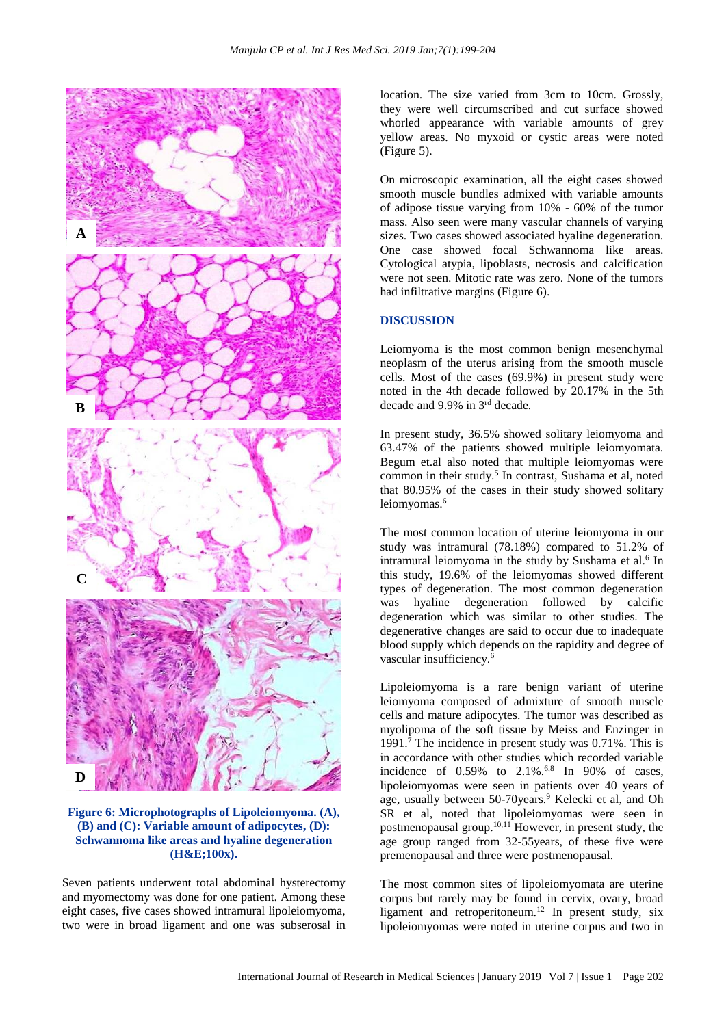

**Figure 6: Microphotographs of Lipoleiomyoma. (A), (B) and (C): Variable amount of adipocytes, (D): Schwannoma like areas and hyaline degeneration (H&E;100x).**

Seven patients underwent total abdominal hysterectomy and myomectomy was done for one patient. Among these eight cases, five cases showed intramural lipoleiomyoma, two were in broad ligament and one was subserosal in location. The size varied from 3cm to 10cm. Grossly, they were well circumscribed and cut surface showed whorled appearance with variable amounts of grey yellow areas. No myxoid or cystic areas were noted (Figure 5).

On microscopic examination, all the eight cases showed smooth muscle bundles admixed with variable amounts of adipose tissue varying from 10% - 60% of the tumor mass. Also seen were many vascular channels of varying sizes. Two cases showed associated hyaline degeneration. One case showed focal Schwannoma like areas. Cytological atypia, lipoblasts, necrosis and calcification were not seen. Mitotic rate was zero. None of the tumors had infiltrative margins (Figure 6).

#### **DISCUSSION**

Leiomyoma is the most common benign mesenchymal neoplasm of the uterus arising from the smooth muscle cells. Most of the cases (69.9%) in present study were noted in the 4th decade followed by 20.17% in the 5th decade and 9.9% in 3 rd decade.

In present study, 36.5% showed solitary leiomyoma and 63.47% of the patients showed multiple leiomyomata. Begum et.al also noted that multiple leiomyomas were common in their study.<sup>5</sup> In contrast, Sushama et al, noted that 80.95% of the cases in their study showed solitary leiomyomas.<sup>6</sup>

The most common location of uterine leiomyoma in our study was intramural (78.18%) compared to 51.2% of intramural leiomyoma in the study by Sushama et al.<sup>6</sup> In this study, 19.6% of the leiomyomas showed different types of degeneration. The most common degeneration was hyaline degeneration followed by calcific degeneration which was similar to other studies. The degenerative changes are said to occur due to inadequate blood supply which depends on the rapidity and degree of vascular insufficiency.<sup>6</sup>

Lipoleiomyoma is a rare benign variant of uterine leiomyoma composed of admixture of smooth muscle cells and mature adipocytes. The tumor was described as myolipoma of the soft tissue by Meiss and Enzinger in 1991. $\frac{7}{7}$  The incidence in present study was 0.71%. This is in accordance with other studies which recorded variable incidence of 0.59% to 2.1%.6,8 In 90% of cases, lipoleiomyomas were seen in patients over 40 years of age, usually between 50-70 years.<sup>9</sup> Kelecki et al, and Oh SR et al, noted that lipoleiomyomas were seen in postmenopausal group. $10,11$  However, in present study, the age group ranged from 32-55years, of these five were premenopausal and three were postmenopausal.

The most common sites of lipoleiomyomata are uterine corpus but rarely may be found in cervix, ovary, broad ligament and retroperitoneum.<sup>12</sup> In present study, six lipoleiomyomas were noted in uterine corpus and two in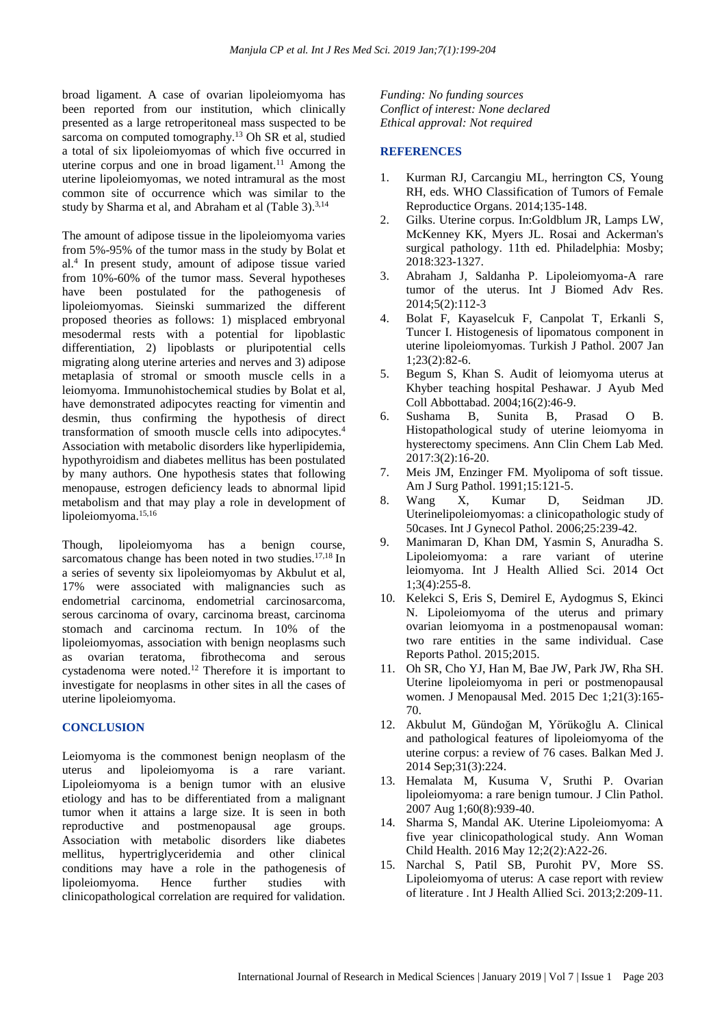broad ligament. A case of ovarian lipoleiomyoma has been reported from our institution, which clinically presented as a large retroperitoneal mass suspected to be sarcoma on computed tomography.<sup>13</sup> Oh SR et al, studied a total of six lipoleiomyomas of which five occurred in uterine corpus and one in broad ligament.<sup>11</sup> Among the uterine lipoleiomyomas, we noted intramural as the most common site of occurrence which was similar to the study by Sharma et al, and Abraham et al (Table 3). $^{3,14}$ 

The amount of adipose tissue in the lipoleiomyoma varies from 5%-95% of the tumor mass in the study by Bolat et al.<sup>4</sup> In present study, amount of adipose tissue varied from 10%-60% of the tumor mass. Several hypotheses have been postulated for the pathogenesis of lipoleiomyomas. Sieinski summarized the different proposed theories as follows: 1) misplaced embryonal mesodermal rests with a potential for lipoblastic differentiation, 2) lipoblasts or pluripotential cells migrating along uterine arteries and nerves and 3) adipose metaplasia of stromal or smooth muscle cells in a leiomyoma. Immunohistochemical studies by Bolat et al, have demonstrated adipocytes reacting for vimentin and desmin, thus confirming the hypothesis of direct transformation of smooth muscle cells into adipocytes.<sup>4</sup> Association with metabolic disorders like hyperlipidemia, hypothyroidism and diabetes mellitus has been postulated by many authors. One hypothesis states that following menopause, estrogen deficiency leads to abnormal lipid metabolism and that may play a role in development of lipoleiomyoma.15,16

Though, lipoleiomyoma has a benign course, sarcomatous change has been noted in two studies.<sup>17,18</sup> In a series of seventy six lipoleiomyomas by Akbulut et al, 17% were associated with malignancies such as endometrial carcinoma, endometrial carcinosarcoma, serous carcinoma of ovary, carcinoma breast, carcinoma stomach and carcinoma rectum. In 10% of the lipoleiomyomas, association with benign neoplasms such as ovarian teratoma, fibrothecoma and serous cystadenoma were noted.<sup>12</sup> Therefore it is important to investigate for neoplasms in other sites in all the cases of uterine lipoleiomyoma.

# **CONCLUSION**

Leiomyoma is the commonest benign neoplasm of the uterus and lipoleiomyoma is a rare variant. Lipoleiomyoma is a benign tumor with an elusive etiology and has to be differentiated from a malignant tumor when it attains a large size. It is seen in both reproductive and postmenopausal age groups. Association with metabolic disorders like diabetes mellitus, hypertriglyceridemia and other clinical conditions may have a role in the pathogenesis of lipoleiomyoma. Hence further studies with clinicopathological correlation are required for validation.

*Funding: No funding sources Conflict of interest: None declared Ethical approval: Not required*

## **REFERENCES**

- 1. Kurman RJ, Carcangiu ML, herrington CS, Young RH, eds. WHO Classification of Tumors of Female Reproductice Organs. 2014;135-148.
- 2. Gilks. Uterine corpus. In:Goldblum JR, Lamps LW, McKenney KK, Myers JL. Rosai and Ackerman's surgical pathology. 11th ed. Philadelphia: Mosby; 2018:323-1327.
- 3. Abraham J, Saldanha P. Lipoleiomyoma-A rare tumor of the uterus. Int J Biomed Adv Res. 2014;5(2):112-3
- 4. Bolat F, Kayaselcuk F, Canpolat T, Erkanli S, Tuncer I. Histogenesis of lipomatous component in uterine lipoleiomyomas. Turkish J Pathol. 2007 Jan 1;23(2):82-6.
- 5. Begum S, Khan S. Audit of leiomyoma uterus at Khyber teaching hospital Peshawar. J Ayub Med Coll Abbottabad. 2004;16(2):46-9.
- 6. Sushama B, Sunita B, Prasad O B. Histopathological study of uterine leiomyoma in hysterectomy specimens. Ann Clin Chem Lab Med. 2017:3(2):16-20.
- 7. Meis JM, Enzinger FM. Myolipoma of soft tissue. Am J Surg Pathol. 1991;15:121-5.
- 8. Wang X, Kumar D, Seidman JD. Uterinelipoleiomyomas: a clinicopathologic study of 50cases. Int J Gynecol Pathol. 2006;25:239-42.
- 9. Manimaran D, Khan DM, Yasmin S, Anuradha S. Lipoleiomyoma: a rare variant of uterine leiomyoma. Int J Health Allied Sci. 2014 Oct 1;3(4):255-8.
- 10. Kelekci S, Eris S, Demirel E, Aydogmus S, Ekinci N. Lipoleiomyoma of the uterus and primary ovarian leiomyoma in a postmenopausal woman: two rare entities in the same individual. Case Reports Pathol. 2015;2015.
- 11. Oh SR, Cho YJ, Han M, Bae JW, Park JW, Rha SH. Uterine lipoleiomyoma in peri or postmenopausal women. J Menopausal Med. 2015 Dec 1;21(3):165- 70.
- 12. Akbulut M, Gündoğan M, Yörükoğlu A. Clinical and pathological features of lipoleiomyoma of the uterine corpus: a review of 76 cases. Balkan Med J. 2014 Sep;31(3):224.
- 13. Hemalata M, Kusuma V, Sruthi P. Ovarian lipoleiomyoma: a rare benign tumour. J Clin Pathol. 2007 Aug 1;60(8):939-40.
- 14. Sharma S, Mandal AK. Uterine Lipoleiomyoma: A five year clinicopathological study. Ann Woman Child Health. 2016 May 12;2(2):A22-26.
- 15. Narchal S, Patil SB, Purohit PV, More SS. Lipoleiomyoma of uterus: A case report with review of literature . Int J Health Allied Sci. 2013;2:209-11.